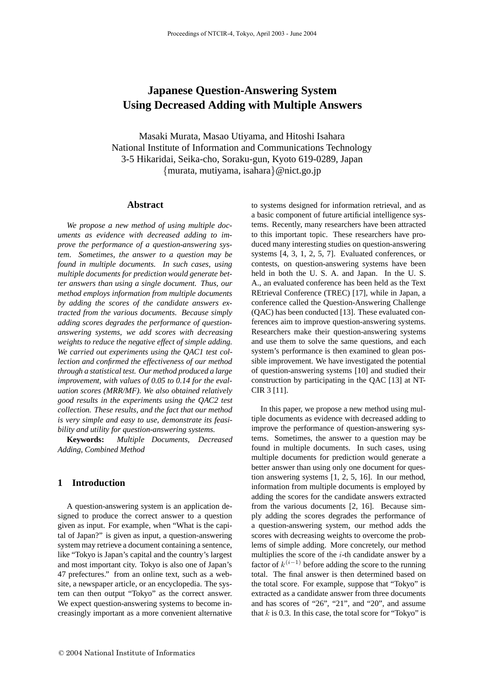# **Japanese Question-Answering System Using Decreased Adding with Multiple Answers**

Masaki Murata, Masao Utiyama, and Hitoshi Isahara National Institute of Information and Communications Technology 3-5 Hikaridai, Seika-cho, Soraku-gun, Kyoto 619-0289, Japan {murata, mutiyama, isahara}@nict.go.jp

#### **Abstract**

*We propose a new method of using multiple documents as evidence with decreased adding to improve the performance of a question-answering system. Sometimes, the answer to a question may be found in multiple documents. In such cases, using multiple documents for prediction would generate better answers than using a single document. Thus, our method employs information from multiple documents by adding the scores of the candidate answers extracted from the various documents. Because simply adding scores degrades the performance of questionanswering systems, we add scores with decreasing weights to reduce the negative effect of simple adding. We carried out experiments using the QAC1 test collection and confirmed the effectiveness of our method through a statistical test. Our method produced a large improvement, with values of 0.05 to 0.14 for the evaluation scores (MRR/MF). We also obtained relatively good results in the experiments using the QAC2 test collection. These results, and the fact that our method is very simple and easy to use, demonstrate its feasibility and utility for question-answering systems.*

**Keywords:** *Multiple Documents, Decreased Adding, Combined Method*

### **1 Introduction**

A question-answering system is an application designed to produce the correct answer to a question given as input. For example, when "What is the capital of Japan?" is given as input, a question-answering system may retrieve a document containing a sentence, like "Tokyo is Japan's capital and the country's largest and most important city. Tokyo is also one of Japan's 47 prefectures." from an online text, such as a website, a newspaper article, or an encyclopedia. The system can then output "Tokyo" as the correct answer. We expect question-answering systems to become increasingly important as a more convenient alternative

to systems designed for information retrieval, and as a basic component of future artificial intelligence systems. Recently, many researchers have been attracted to this important topic. These researchers have produced many interesting studies on question-answering systems [4, 3, 1, 2, 5, 7]. Evaluated conferences, or contests, on question-answering systems have been held in both the U. S. A. and Japan. In the U. S. A., an evaluated conference has been held as the Text REtrieval Conference (TREC) [17], while in Japan, a conference called the Question-Answering Challenge (QAC) has been conducted [13]. These evaluated conferences aim to improve question-answering systems. Researchers make their question-answering systems and use them to solve the same questions, and each system's performance is then examined to glean possible improvement. We have investigated the potential of question-answering systems [10] and studied their construction by participating in the QAC [13] at NT-CIR 3 [11].

In this paper, we propose a new method using multiple documents as evidence with decreased adding to improve the performance of question-answering systems. Sometimes, the answer to a question may be found in multiple documents. In such cases, using multiple documents for prediction would generate a better answer than using only one document for question answering systems [1, 2, 5, 16]. In our method, information from multiple documents is employed by adding the scores for the candidate answers extracted from the various documents [2, 16]. Because simply adding the scores degrades the performance of a question-answering system, our method adds the scores with decreasing weights to overcome the problems of simple adding. More concretely, our method multiplies the score of the *i*-th candidate answer by a factor of  $k^{(i-1)}$  before adding the score to the running total. The final answer is then determined based on the total score. For example, suppose that "Tokyo" is extracted as a candidate answer from three documents and has scores of "26", "21", and "20", and assume that  $k$  is 0.3. In this case, the total score for "Tokyo" is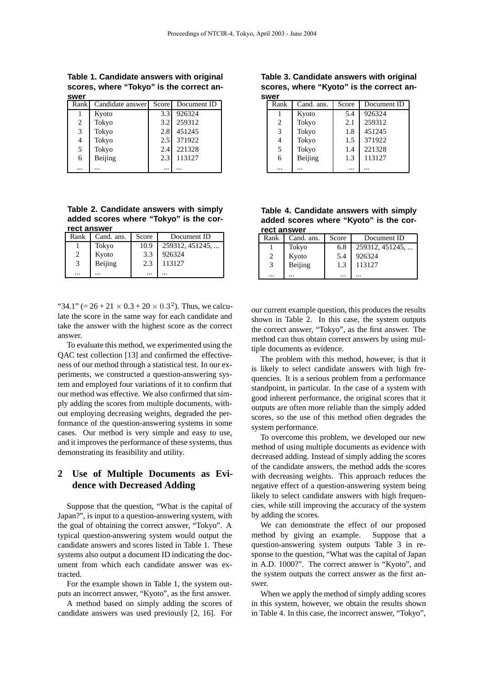**Table 1. Candidate answers with original scores, where "Tokyo" is the correct answer**

| Rank | Candidate answer | Score | Document ID |
|------|------------------|-------|-------------|
|      | Kyoto            | 3.3   | 926324      |
| 2    | Tokyo            | 3.2   | 259312      |
| 3    | Tokyo            | 2.8   | 451245      |
| 4    | Tokyo            | 2.5   | 371922      |
| 5    | Tokyo            | 2.4   | 221328      |
| 6    | Beijing          | 2.3   | 113127      |
|      |                  |       |             |

**Table 2. Candidate answers with simply added scores where "Tokyo" is the correct answer**

| Rank     | Cand. ans. | Score | Document ID     |
|----------|------------|-------|-----------------|
|          | Tokyo      | 10.9  | 259312, 451245, |
|          | Kyoto      | 3.3   | 926324          |
|          | Beijing    | 2.3   | 113127          |
| $\cdots$ |            |       |                 |

"34.1" (=  $26 + 21 \times 0.3 + 20 \times 0.3^2$ ). Thus, we calculate the score in the same way for each candidate and take the answer with the highest score as the correct answer.

To evaluate this method, we experimented using the QAC test collection [13] and confirmed the effectiveness of our method through a statistical test. In our experiments, we constructed a question-answering system and employed four variations of it to confirm that our method was effective. We also confirmed that simply adding the scores from multiple documents, without employing decreasing weights, degraded the performance of the question-answering systems in some cases. Our method is very simple and easy to use, and it improves the performance of these systems, thus demonstrating its feasibility and utility.

# **2 Use of Multiple Documents as Evidence with Decreased Adding**

Suppose that the question, "What is the capital of Japan?", is input to a question-answering system, with the goal of obtaining the correct answer, "Tokyo". A typical question-answering system would output the candidate answers and scores listed in Table 1. These systems also output a document ID indicating the document from which each candidate answer was extracted.

For the example shown in Table 1, the system outputs an incorrect answer, "Kyoto", as the first answer.

A method based on simply adding the scores of candidate answers was used previously [2, 16]. For

**Table 3. Candidate answers with original scores, where "Kyoto" is the correct answer**

| Rank           | Cand. ans. | Score    | Document ID |
|----------------|------------|----------|-------------|
|                | Kyoto      | 5.4      | 926324      |
| $\overline{c}$ | Tokyo      | 2.1      | 259312      |
| 3              | Tokyo      | 1.8      | 451245      |
| $\overline{4}$ | Tokyo      | 1.5      | 371922      |
| 5              | Tokyo      | 1.4      | 221328      |
| 6              | Beijing    | 1.3      | 113127      |
|                |            | $\cdots$ |             |

**Table 4. Candidate answers with simply added scores where "Kyoto" is the correct answer**

| Rank     | Cand. ans. | Score | Document ID     |
|----------|------------|-------|-----------------|
|          | Tokyo      | 6.8   | 259312, 451245, |
|          | Kyoto      | 5.4   | 926324          |
| 3        | Beijing    | 1.3   | 113127          |
| $\cdots$ |            |       |                 |

our current example question, this produces the results shown in Table 2. In this case, the system outputs the correct answer, "Tokyo", as the first answer. The method can thus obtain correct answers by using multiple documents as evidence.

The problem with this method, however, is that it is likely to select candidate answers with high frequencies. It is a serious problem from a performance standpoint, in particular. In the case of a system with good inherent performance, the original scores that it outputs are often more reliable than the simply added scores, so the use of this method often degrades the system performance.

To overcome this problem, we developed our new method of using multiple documents as evidence with decreased adding. Instead of simply adding the scores of the candidate answers, the method adds the scores with decreasing weights. This approach reduces the negative effect of a question-answering system being likely to select candidate answers with high frequencies, while still improving the accuracy of the system by adding the scores.

We can demonstrate the effect of our proposed method by giving an example. Suppose that a question-answering system outputs Table 3 in response to the question, "What was the capital of Japan in A.D. 1000?". The correct answer is "Kyoto", and the system outputs the correct answer as the first answer.

When we apply the method of simply adding scores in this system, however, we obtain the results shown in Table 4. In this case, the incorrect answer, "Tokyo",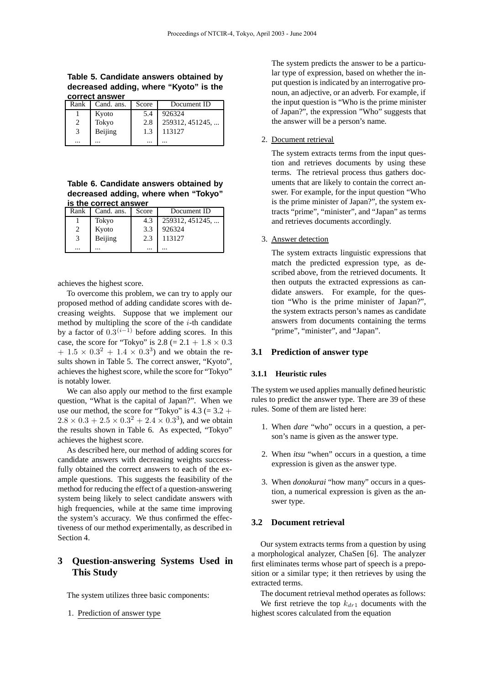|                | Table 5. Candidate answers obtained by |  |
|----------------|----------------------------------------|--|
|                | decreased adding, where "Kyoto" is the |  |
| correct answer |                                        |  |
|                | Rank Cand ans Score Document ID        |  |

| Rank | Cand. ans. | Score    | Document ID     |
|------|------------|----------|-----------------|
|      | Kyoto      | 5.4      | 926324          |
|      | Tokyo      | 2.8      | 259312, 451245, |
|      | Beijing    | 1.3      | 113127          |
|      |            | $\cdots$ |                 |

**Table 6. Candidate answers obtained by decreased adding, where when "Tokyo" is the correct answer**

| Rank     | Cand. ans. | Score    | Document ID     |
|----------|------------|----------|-----------------|
|          | Tokyo      | 4.3      | 259312, 451245, |
|          | Kyoto      | 3.3      | 926324          |
| 3        | Beijing    | 2.3      | 113127          |
| $\cdots$ |            | $\cdots$ |                 |

achieves the highest score.

To overcome this problem, we can try to apply our proposed method of adding candidate scores with decreasing weights. Suppose that we implement our method by multipling the score of the *i*-th candidate by a factor of 0*.*3(*i−*1) before adding scores. In this case, the score for "Tokyo" is 2.8 (=  $2.1 + 1.8 \times 0.3$ )  $+ 1.5 \times 0.3^2 + 1.4 \times 0.3^3$  and we obtain the results shown in Table 5. The correct answer, "Kyoto", achieves the highest score, while the score for "Tokyo" is notably lower.

We can also apply our method to the first example question, "What is the capital of Japan?". When we use our method, the score for "Tokyo" is  $4.3 (= 3.2 +$  $2.8 \times 0.3 + 2.5 \times 0.3^2 + 2.4 \times 0.3^3$ , and we obtain the results shown in Table 6. As expected, "Tokyo" achieves the highest score.

As described here, our method of adding scores for candidate answers with decreasing weights successfully obtained the correct answers to each of the example questions. This suggests the feasibility of the method for reducing the effect of a question-answering system being likely to select candidate answers with high frequencies, while at the same time improving the system's accuracy. We thus confirmed the effectiveness of our method experimentally, as described in Section 4.

# **3 Question-answering Systems Used in This Study**

The system utilizes three basic components:

1. Prediction of answer type

The system predicts the answer to be a particular type of expression, based on whether the input question is indicated by an interrogative pronoun, an adjective, or an adverb. For example, if the input question is "Who is the prime minister of Japan?", the expression "Who" suggests that the answer will be a person's name.

### 2. Document retrieval

The system extracts terms from the input question and retrieves documents by using these terms. The retrieval process thus gathers documents that are likely to contain the correct answer. For example, for the input question "Who is the prime minister of Japan?", the system extracts "prime", "minister", and "Japan" as terms and retrieves documents accordingly.

#### 3. Answer detection

The system extracts linguistic expressions that match the predicted expression type, as described above, from the retrieved documents. It then outputs the extracted expressions as candidate answers. For example, for the question "Who is the prime minister of Japan?", the system extracts person's names as candidate answers from documents containing the terms "prime", "minister", and "Japan".

### **3.1 Prediction of answer type**

#### **3.1.1 Heuristic rules**

The system we used applies manually defined heuristic rules to predict the answer type. There are 39 of these rules. Some of them are listed here:

- 1. When *dare* "who" occurs in a question, a person's name is given as the answer type.
- 2. When *itsu* "when" occurs in a question, a time expression is given as the answer type.
- 3. When *donokurai* "how many" occurs in a question, a numerical expression is given as the answer type.

### **3.2 Document retrieval**

Our system extracts terms from a question by using a morphological analyzer, ChaSen [6]. The analyzer first eliminates terms whose part of speech is a preposition or a similar type; it then retrieves by using the extracted terms.

The document retrieval method operates as follows: We first retrieve the top  $k_{dr1}$  documents with the highest scores calculated from the equation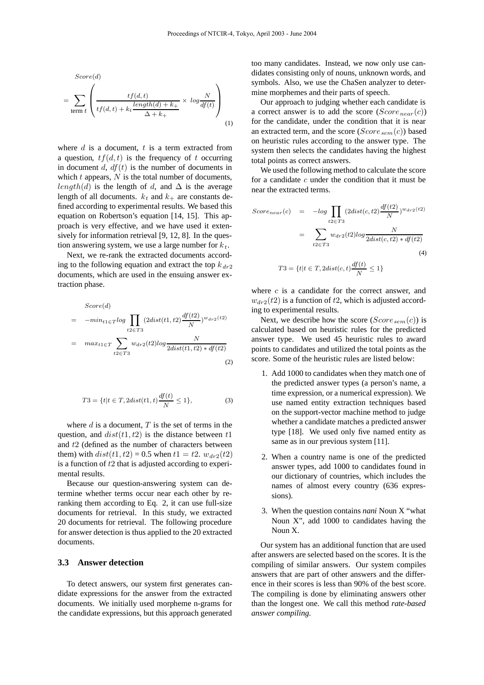$$
Score(d)
$$
  
= 
$$
\sum_{\text{term } t} \left( \frac{tf(d, t)}{tf(d, t) + k_t \frac{length(d) + k_+}{\Delta + k_+}} \times log \frac{N}{df(t)} \right)
$$
 (1)

where *d* is a document, *t* is a term extracted from a question,  $tf(d, t)$  is the frequency of *t* occurring in document  $d$ ,  $df(t)$  is the number of documents in which *t* appears, *N* is the total number of documents, *length*(*d*) is the length of *d*, and  $\Delta$  is the average length of all documents.  $k_t$  and  $k_+$  are constants defined according to experimental results. We based this equation on Robertson's equation [14, 15]. This approach is very effective, and we have used it extensively for information retrieval [9, 12, 8]. In the question answering system, we use a large number for *kt*.

Next, we re-rank the extracted documents according to the following equation and extract the top  $k_{dr2}$ documents, which are used in the ensuing answer extraction phase.

$$
Score(d)
$$
  
=  $-min_{t1 \in T} log \prod_{t2 \in T3} (2dist(t1, t2) \frac{df(t2)}{N})^{w_{dr2}(t2)}$   
=  $max_{t1 \in T} \sum_{t2 \in T3} w_{dr2}(t2) log \frac{N}{2dist(t1, t2) * df(t2)}$  (2)

$$
T3 = \{t | t \in T, 2dist(t1, t) \frac{df(t)}{N} \le 1\},\tag{3}
$$

where *d* is a document, *T* is the set of terms in the question, and  $dist(t1, t2)$  is the distance between  $t1$ and *t*2 (defined as the number of characters between them) with  $dist(t1, t2) = 0.5$  when  $t1 = t2$ .  $w_{dr2}(t2)$ is a function of *t*2 that is adjusted according to experimental results.

Because our question-answering system can determine whether terms occur near each other by reranking them according to Eq. 2, it can use full-size documents for retrieval. In this study, we extracted 20 documents for retrieval. The following procedure for answer detection is thus applied to the 20 extracted documents.

### **3.3 Answer detection**

To detect answers, our system first generates candidate expressions for the answer from the extracted documents. We initially used morpheme n-grams for the candidate expressions, but this approach generated too many candidates. Instead, we now only use candidates consisting only of nouns, unknown words, and symbols. Also, we use the ChaSen analyzer to determine morphemes and their parts of speech.

Our approach to judging whether each candidate is a correct answer is to add the score (*Scorenear*(*c*)) for the candidate, under the condition that it is near an extracted term, and the score (*Scoresem*(*c*)) based on heuristic rules according to the answer type. The system then selects the candidates having the highest total points as correct answers.

We used the following method to calculate the score for a candidate *c* under the condition that it must be near the extracted terms.

$$
Score_{near}(c) = -log \prod_{t2 \in T3} (2dist(c, t2) \frac{df(t2)}{N})^{w_{dr2}(t2)}
$$

$$
= \sum_{t2 \in T3} w_{dr2}(t2)log \frac{N}{2dist(c, t2) * df(t2)}
$$

$$
T3 = \{t | t \in T, 2dist(c, t) \frac{df(t)}{N} \le 1\}
$$
(4)

where *c* is a candidate for the correct answer, and  $w_{dr2}(t2)$  is a function of  $t2$ , which is adjusted according to experimental results.

Next, we describe how the score ( $Score_{sem}(c)$ ) is calculated based on heuristic rules for the predicted answer type. We used 45 heuristic rules to award points to candidates and utilized the total points as the score. Some of the heuristic rules are listed below:

- 1. Add 1000 to candidates when they match one of the predicted answer types (a person's name, a time expression, or a numerical expression). We use named entity extraction techniques based on the support-vector machine method to judge whether a candidate matches a predicted answer type [18]. We used only five named entity as same as in our previous system [11].
- 2. When a country name is one of the predicted answer types, add 1000 to candidates found in our dictionary of countries, which includes the names of almost every country (636 expressions).
- 3. When the question contains *nani* Noun X "what Noun X", add 1000 to candidates having the Noun X.

Our system has an additional function that are used after answers are selected based on the scores. It is the compiling of similar answers. Our system compiles answers that are part of other answers and the difference in their scores is less than 90% of the best score. The compiling is done by eliminating answers other than the longest one. We call this method *rate-based answer compiling*.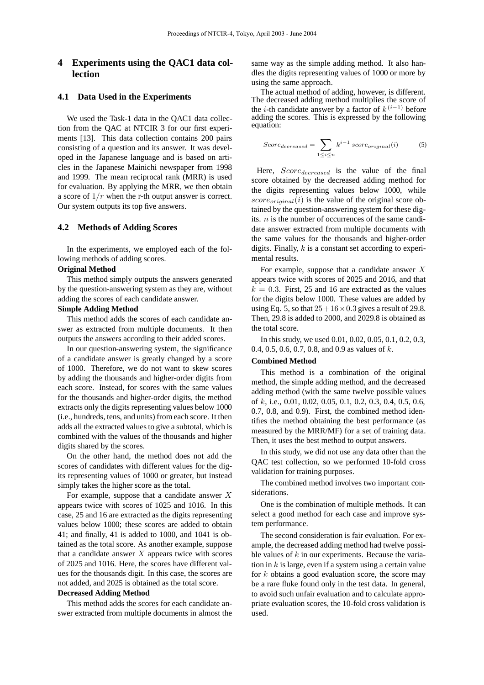# **4 Experiments using the QAC1 data collection**

### **4.1 Data Used in the Experiments**

We used the Task-1 data in the QAC1 data collection from the QAC at NTCIR 3 for our first experiments [13]. This data collection contains 200 pairs consisting of a question and its answer. It was developed in the Japanese language and is based on articles in the Japanese Mainichi newspaper from 1998 and 1999. The mean reciprocal rank (MRR) is used for evaluation. By applying the MRR, we then obtain a score of 1*/r* when the r-th output answer is correct. Our system outputs its top five answers.

#### **4.2 Methods of Adding Scores**

In the experiments, we employed each of the following methods of adding scores.

#### **Original Method**

This method simply outputs the answers generated by the question-answering system as they are, without adding the scores of each candidate answer.

### **Simple Adding Method**

This method adds the scores of each candidate answer as extracted from multiple documents. It then outputs the answers according to their added scores.

In our question-answering system, the significance of a candidate answer is greatly changed by a score of 1000. Therefore, we do not want to skew scores by adding the thousands and higher-order digits from each score. Instead, for scores with the same values for the thousands and higher-order digits, the method extracts only the digits representing values below 1000 (i.e., hundreds, tens, and units) from each score. It then adds all the extracted values to give a subtotal, which is combined with the values of the thousands and higher digits shared by the scores.

On the other hand, the method does not add the scores of candidates with different values for the digits representing values of 1000 or greater, but instead simply takes the higher score as the total.

For example, suppose that a candidate answer *X* appears twice with scores of 1025 and 1016. In this case, 25 and 16 are extracted as the digits representing values below 1000; these scores are added to obtain 41; and finally, 41 is added to 1000, and 1041 is obtained as the total score. As another example, suppose that a candidate answer *X* appears twice with scores of 2025 and 1016. Here, the scores have different values for the thousands digit. In this case, the scores are not added, and 2025 is obtained as the total score.

### **Decreased Adding Method**

This method adds the scores for each candidate answer extracted from multiple documents in almost the same way as the simple adding method. It also handles the digits representing values of 1000 or more by using the same approach.

The actual method of adding, however, is different. The decreased adding method multiplies the score of the *i*-th candidate answer by a factor of  $k^{(i-1)}$  before adding the scores. This is expressed by the following equation:

$$
Score_{decreased} = \sum_{1 \le i \le n} k^{i-1} score_{original}(i) \tag{5}
$$

Here, *Scoredecreased* is the value of the final score obtained by the decreased adding method for the digits representing values below 1000, while  $score_{original}(i)$  is the value of the original score obtained by the question-answering system for these digits. *n* is the number of occurrences of the same candidate answer extracted from multiple documents with the same values for the thousands and higher-order digits. Finally, *k* is a constant set according to experimental results.

For example, suppose that a candidate answer *X* appears twice with scores of 2025 and 2016, and that  $k = 0.3$ . First, 25 and 16 are extracted as the values for the digits below 1000. These values are added by using Eq. 5, so that  $25+16\times0.3$  gives a result of 29.8. Then, 29.8 is added to 2000, and 2029.8 is obtained as the total score.

In this study, we used 0.01, 0.02, 0.05, 0.1, 0.2, 0.3, 0.4, 0.5, 0.6, 0.7, 0.8, and 0.9 as values of *k*.

#### **Combined Method**

This method is a combination of the original method, the simple adding method, and the decreased adding method (with the same twelve possible values of *k*, i.e., 0.01, 0.02, 0.05, 0.1, 0.2, 0.3, 0.4, 0.5, 0.6, 0.7, 0.8, and 0.9). First, the combined method identifies the method obtaining the best performance (as measured by the MRR/MF) for a set of training data. Then, it uses the best method to output answers.

In this study, we did not use any data other than the QAC test collection, so we performed 10-fold cross validation for training purposes.

The combined method involves two important considerations.

One is the combination of multiple methods. It can select a good method for each case and improve system performance.

The second consideration is fair evaluation. For example, the decreased adding method had twelve possible values of *k* in our experiments. Because the variation in *k* is large, even if a system using a certain value for *k* obtains a good evaluation score, the score may be a rare fluke found only in the test data. In general, to avoid such unfair evaluation and to calculate appropriate evaluation scores, the 10-fold cross validation is used.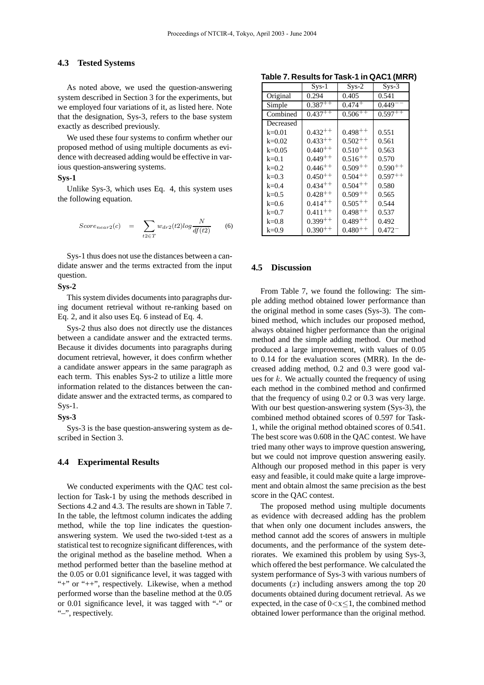### **4.3 Tested Systems**

As noted above, we used the question-answering system described in Section 3 for the experiments, but we employed four variations of it, as listed here. Note that the designation, Sys-3, refers to the base system exactly as described previously.

We used these four systems to confirm whether our proposed method of using multiple documents as evidence with decreased adding would be effective in various question-answering systems.

#### **Sys-1**

Unlike Sys-3, which uses Eq. 4, this system uses the following equation.

$$
Score_{near2}(c) = \sum_{t2 \in T} w_{dr2}(t2) \log \frac{N}{df(t2)} \qquad (6)
$$

Sys-1 thus does not use the distances between a candidate answer and the terms extracted from the input question.

#### **Sys-2**

This system divides documents into paragraphs during document retrieval without re-ranking based on Eq. 2, and it also uses Eq. 6 instead of Eq. 4.

Sys-2 thus also does not directly use the distances between a candidate answer and the extracted terms. Because it divides documents into paragraphs during document retrieval, however, it does confirm whether a candidate answer appears in the same paragraph as each term. This enables Sys-2 to utilize a little more information related to the distances between the candidate answer and the extracted terms, as compared to Sys-1.

#### **Sys-3**

Sys-3 is the base question-answering system as described in Section 3.

### **4.4 Experimental Results**

We conducted experiments with the QAC test collection for Task-1 by using the methods described in Sections 4.2 and 4.3. The results are shown in Table 7. In the table, the leftmost column indicates the adding method, while the top line indicates the questionanswering system. We used the two-sided t-test as a statistical test to recognize significant differences, with the original method as the baseline method. When a method performed better than the baseline method at the 0.05 or 0.01 significance level, it was tagged with "+" or "++", respectively. Likewise, when a method performed worse than the baseline method at the 0.05 or 0.01 significance level, it was tagged with "-" or "-", respectively.

**Table 7. Results for Task-1 in QAC1 (MRR)**

|            | $Sys-1$      | $Sys-2$      | $Sys-3$      |
|------------|--------------|--------------|--------------|
| Original   | 0.294        | 0.405        | 0.541        |
| Simple     | $0.387^{++}$ | $0.474^{+}$  | $0.449 -$    |
| Combined   | $0.437^{++}$ | $0.506^{++}$ | $0.597^{++}$ |
| Decreased  |              |              |              |
| $k=0.01$   | $0.432^{++}$ | $0.498^{++}$ | 0.551        |
| $k=0.02$   | $0.433^{++}$ | $0.502^{++}$ | 0.561        |
| $k = 0.05$ | $0.440^{++}$ | $0.510^{++}$ | 0.563        |
| k=0.1      | $0.449^{++}$ | $0.516^{++}$ | 0.570        |
| $k=0.2$    | $0.446^{++}$ | $0.509^{++}$ | $0.590^{++}$ |
| $k=0.3$    | $0.450^{++}$ | $0.504^{++}$ | $0.597^{++}$ |
| $k=0.4$    | $0.434^{++}$ | $0.504^{++}$ | 0.580        |
| $k=0.5$    | $0.428^{++}$ | $0.509^{++}$ | 0.565        |
| $k=0.6$    | $0.414^{++}$ | $0.505^{++}$ | 0.544        |
| $k=0.7$    | $0.411^{++}$ | $0.498^{++}$ | 0.537        |
| k=0.8      | $0.399^{++}$ | $0.489^{++}$ | 0.492        |
| k=0.9      | $0.390^{++}$ | $0.480^{++}$ | $0.472 -$    |

#### **4.5 Discussion**

From Table 7, we found the following: The simple adding method obtained lower performance than the original method in some cases (Sys-3). The combined method, which includes our proposed method, always obtained higher performance than the original method and the simple adding method. Our method produced a large improvement, with values of 0.05 to 0.14 for the evaluation scores (MRR). In the decreased adding method, 0.2 and 0.3 were good values for *k*. We actually counted the frequency of using each method in the combined method and confirmed that the frequency of using 0.2 or 0.3 was very large. With our best question-answering system (Sys-3), the combined method obtained scores of 0.597 for Task-1, while the original method obtained scores of 0.541. The best score was 0.608 in the QAC contest. We have tried many other ways to improve question answering, but we could not improve question answering easily. Although our proposed method in this paper is very easy and feasible, it could make quite a large improvement and obtain almost the same precision as the best score in the QAC contest.

The proposed method using multiple documents as evidence with decreased adding has the problem that when only one document includes answers, the method cannot add the scores of answers in multiple documents, and the performance of the system deteriorates. We examined this problem by using Sys-3, which offered the best performance. We calculated the system performance of Sys-3 with various numbers of documents (*x*) including answers among the top 20 documents obtained during document retrieval. As we expected, in the case of 0*<*x≤1, the combined method obtained lower performance than the original method.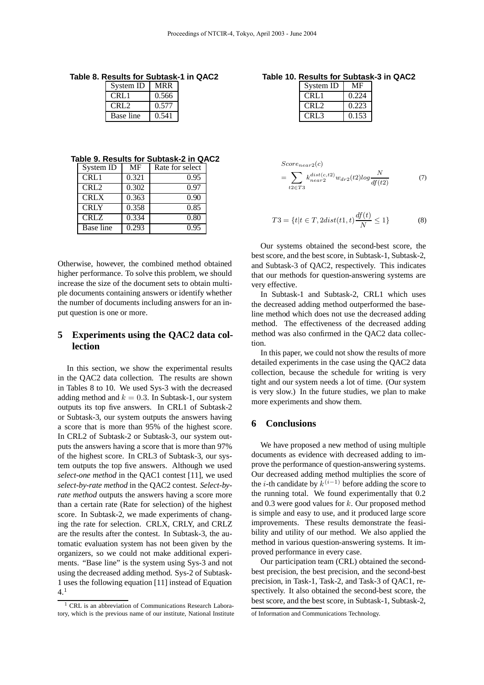|  | Table 8. Results for Subtask-1 in QAC2 |  |
|--|----------------------------------------|--|
|  |                                        |  |

| System ID        | MRR   |  |
|------------------|-------|--|
| CRL1             | 0.566 |  |
| CRL <sub>2</sub> | 0.577 |  |
| Base line        | 0.541 |  |

**Table 9. Results for Subtask-2 in QAC2**

| System ID        | MF    | Rate for select |
|------------------|-------|-----------------|
| CRL1             | 0.321 | 0.95            |
| CRL <sub>2</sub> | 0.302 | 0.97            |
| <b>CRLX</b>      | 0.363 | 0.90            |
| <b>CRLY</b>      | 0.358 | 0.85            |
| <b>CRLZ</b>      | 0.334 | 0.80            |
| Base line        | 0.293 | 0.95            |

Otherwise, however, the combined method obtained higher performance. To solve this problem, we should increase the size of the document sets to obtain multiple documents containing answers or identify whether the number of documents including answers for an input question is one or more.

## **5 Experiments using the QAC2 data collection**

In this section, we show the experimental results in the QAC2 data collection. The results are shown in Tables 8 to 10. We used Sys-3 with the decreased adding method and  $k = 0.3$ . In Subtask-1, our system outputs its top five answers. In CRL1 of Subtask-2 or Subtask-3, our system outputs the answers having a score that is more than 95% of the highest score. In CRL2 of Subtask-2 or Subtask-3, our system outputs the answers having a score that is more than 97% of the highest score. In CRL3 of Subtask-3, our system outputs the top five answers. Although we used *select-one method* in the QAC1 contest [11], we used *select-by-rate method* in the QAC2 contest. *Select-byrate method* outputs the answers having a score more than a certain rate (Rate for selection) of the highest score. In Subtask-2, we made experiments of changing the rate for selection. CRLX, CRLY, and CRLZ are the results after the contest. In Subtask-3, the automatic evaluation system has not been given by the organizers, so we could not make additional experiments. "Base line" is the system using Sys-3 and not using the decreased adding method. Sys-2 of Subtask-1 uses the following equation [11] instead of Equation 4.<sup>1</sup>

**Table 10. Results for Subtask-3 in QAC2**

| System ID | МF    |
|-----------|-------|
| CRL1      | 0.224 |
| CRL2      | 0.223 |
| CRL3      | 0.153 |

$$
Score_{near2}(c)
$$
  
= 
$$
\sum_{t2 \in T3} k_{near2}^{dist(c,t2)} w_{dr2}(t2) \log \frac{N}{df(t2)}
$$
 (7)

$$
T3 = \{t | t \in T, 2dist(t1, t)\frac{df(t)}{N} \le 1\}
$$
 (8)

Our systems obtained the second-best score, the best score, and the best score, in Subtask-1, Subtask-2, and Subtask-3 of QAC2, respectively. This indicates that our methods for question-answering systems are very effective.

In Subtask-1 and Subtask-2, CRL1 which uses the decreased adding method outperformed the baseline method which does not use the decreased adding method. The effectiveness of the decreased adding method was also confirmed in the QAC2 data collection.

In this paper, we could not show the results of more detailed experiments in the case using the QAC2 data collection, because the schedule for writing is very tight and our system needs a lot of time. (Our system is very slow.) In the future studies, we plan to make more experiments and show them.

### **6 Conclusions**

We have proposed a new method of using multiple documents as evidence with decreased adding to improve the performance of question-answering systems. Our decreased adding method multiplies the score of the *i*-th candidate by  $k^{(i-1)}$  before adding the score to the running total. We found experimentally that 0.2 and 0.3 were good values for *k*. Our proposed method is simple and easy to use, and it produced large score improvements. These results demonstrate the feasibility and utility of our method. We also applied the method in various question-answering systems. It improved performance in every case.

Our participation team (CRL) obtained the secondbest precision, the best precision, and the second-best precision, in Task-1, Task-2, and Task-3 of QAC1, respectively. It also obtained the second-best score, the best score, and the best score, in Subtask-1, Subtask-2,

<sup>&</sup>lt;sup>1</sup> CRL is an abbreviation of Communications Research Laboratory, which is the previous name of our institute, National Institute

of Information and Communications Technology.